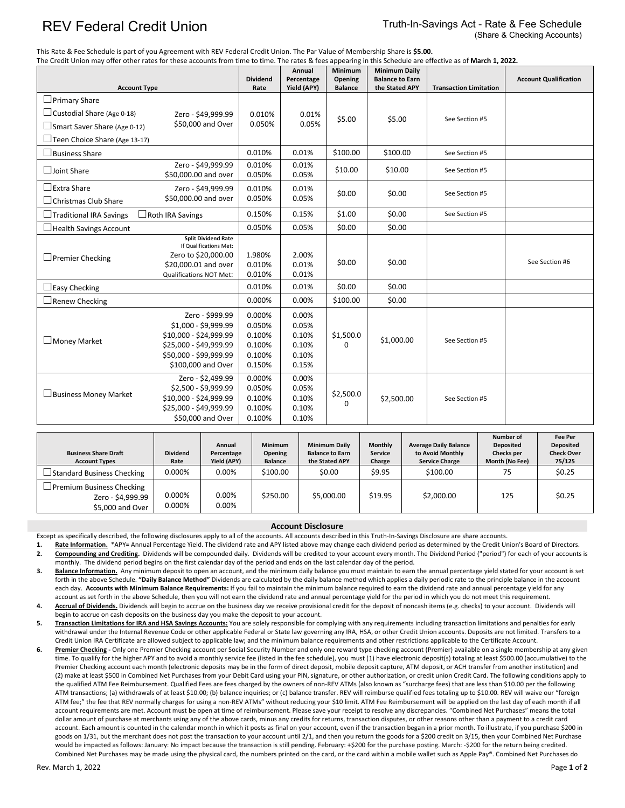## REV Federal Credit Union Truth-In-Savings Act - Rate & Fee Schedule (Share & Checking Accounts)

This Rate & Fee Schedule is part of you Agreement with REV Federal Credit Union. The Par Value of Membership Share is **\$5.00.**

| The Credit Union may offer other rates for these accounts from time to time. The rates & fees appearing in this Schedule are effective as of March 1, 2022. |                                                                                                                                             | Annual                                                   | Minimum                                            | <b>Minimum Daily</b>  |                               |                |                              |
|-------------------------------------------------------------------------------------------------------------------------------------------------------------|---------------------------------------------------------------------------------------------------------------------------------------------|----------------------------------------------------------|----------------------------------------------------|-----------------------|-------------------------------|----------------|------------------------------|
|                                                                                                                                                             |                                                                                                                                             | <b>Dividend</b>                                          | Percentage                                         | Opening               | <b>Balance to Earn</b>        |                | <b>Account Qualification</b> |
| <b>Account Type</b>                                                                                                                                         | Rate                                                                                                                                        | Yield (APY)                                              | <b>Balance</b>                                     | the Stated APY        | <b>Transaction Limitation</b> |                |                              |
| $\Box$ Primary Share                                                                                                                                        |                                                                                                                                             |                                                          |                                                    |                       |                               |                |                              |
| $\Box$ Custodial Share (Age 0-18)                                                                                                                           | Zero - \$49,999.99                                                                                                                          | 0.010%                                                   | 0.01%                                              | \$5.00                | \$5.00                        | See Section #5 |                              |
| $\Box$ Smart Saver Share (Age 0-12)                                                                                                                         | \$50,000 and Over                                                                                                                           | 0.050%                                                   | 0.05%                                              |                       |                               |                |                              |
| Teen Choice Share (Age 13-17)                                                                                                                               |                                                                                                                                             |                                                          |                                                    |                       |                               |                |                              |
| $\Box$ Business Share                                                                                                                                       | 0.010%                                                                                                                                      | 0.01%                                                    | \$100.00                                           | \$100.00              | See Section #5                |                |                              |
| □Joint Share                                                                                                                                                | Zero - \$49.999.99<br>\$50,000.00 and over                                                                                                  | 0.010%<br>0.050%                                         | 0.01%<br>0.05%                                     | \$10.00               | \$10.00                       | See Section #5 |                              |
| $\Box$ Extra Share                                                                                                                                          | Zero - \$49,999.99                                                                                                                          | 0.010%                                                   | 0.01%                                              |                       |                               | See Section #5 |                              |
| $\Box$ Christmas Club Share                                                                                                                                 | \$50,000.00 and over                                                                                                                        | \$0.00<br>\$0.00<br>0.050%<br>0.05%                      |                                                    |                       |                               |                |                              |
| $\Box$ Traditional IRA Savings<br>$\Box$ Roth IRA Savings                                                                                                   | 0.150%                                                                                                                                      | 0.15%                                                    | \$1.00                                             | \$0.00                | See Section #5                |                |                              |
| $\Box$ Health Savings Account                                                                                                                               | 0.050%                                                                                                                                      | 0.05%                                                    | \$0.00                                             | \$0.00                |                               |                |                              |
| $\Box$ Premier Checking                                                                                                                                     | <b>Split Dividend Rate</b><br>If Qualifications Met:<br>Zero to \$20,000.00<br>\$20,000.01 and over<br><b>Qualifications NOT Met:</b>       | 1.980%<br>0.010%<br>0.010%                               | 2.00%<br>0.01%<br>0.01%                            | \$0.00                | \$0.00                        |                | See Section #6               |
| $\Box$ Easy Checking                                                                                                                                        |                                                                                                                                             | 0.010%                                                   | 0.01%                                              | \$0.00                | \$0.00                        |                |                              |
| $\Box$ Renew Checking                                                                                                                                       |                                                                                                                                             | 0.000%                                                   | 0.00%                                              | \$100.00              | \$0.00                        |                |                              |
| □ Money Market                                                                                                                                              | Zero - \$999.99<br>\$1,000 - \$9,999.99<br>\$10,000 - \$24,999.99<br>\$25,000 - \$49,999.99<br>\$50,000 - \$99,999.99<br>\$100,000 and Over | 0.000%<br>0.050%<br>0.100%<br>0.100%<br>0.100%<br>0.150% | 0.00%<br>0.05%<br>0.10%<br>0.10%<br>0.10%<br>0.15% | \$1,500.0<br>$\Omega$ | \$1,000.00                    | See Section #5 |                              |
| Business Money Market                                                                                                                                       | Zero - \$2,499.99<br>\$2,500 - \$9,999.99<br>\$10,000 - \$24,999.99<br>\$25,000 - \$49,999.99<br>\$50,000 and Over                          | 0.000%<br>0.050%<br>0.100%<br>0.100%<br>0.100%           | 0.00%<br>0.05%<br>0.10%<br>0.10%<br>0.10%          | \$2,500.0<br>0        | \$2,500.00                    | See Section #5 |                              |

| <b>Business Share Draft</b><br><b>Account Types</b>                       | <b>Dividend</b><br>Rate | Annual<br>Percentage<br>Yield (APY) | <b>Minimum</b><br>Opening<br><b>Balance</b> | <b>Minimum Daily</b><br><b>Balance to Earn</b><br>the Stated APY | <b>Monthly</b><br><b>Service</b><br>Charge | <b>Average Daily Balance</b><br>to Avoid Monthly<br><b>Service Charge</b> | Number of<br><b>Deposited</b><br>Checks per<br>Month (No Fee) | <b>Fee Per</b><br><b>Deposited</b><br><b>Check Over</b><br>75/125 |
|---------------------------------------------------------------------------|-------------------------|-------------------------------------|---------------------------------------------|------------------------------------------------------------------|--------------------------------------------|---------------------------------------------------------------------------|---------------------------------------------------------------|-------------------------------------------------------------------|
| $\Box$ Standard Business Checking                                         | 0.000%                  | 0.00%                               | \$100.00                                    | \$0.00                                                           | \$9.95                                     | \$100.00                                                                  | 75                                                            | \$0.25                                                            |
| $\Box$ Premium Business Checking<br>Zero - \$4,999.99<br>\$5,000 and Over | 0.000%<br>0.000%        | 0.00%<br>0.00%                      | \$250.00                                    | \$5,000.00                                                       | \$19.95                                    | \$2,000.00                                                                | 125                                                           | \$0.25                                                            |

## **Account Disclosure**

Except as specifically described, the following disclosures apply to all of the accounts. All accounts described in this Truth-In-Savings Disclosure are share accounts.

**1. Rate Information.** \*APY= Annual Percentage Yield. The dividend rate and APY listed above may change each dividend period as determined by the Credit Union's Board of Directors. 2. Compounding and Crediting. Dividends will be compounded daily. Dividends will be credited to your account every month. The Dividend Period ("period") for each of your accounts is

monthly. The dividend period begins on the first calendar day of the period and ends on the last calendar day of the period. **3.** Balance Information. Any minimum deposit to open an account, and the minimum daily balance you must maintain to earn the annual percentage yield stated for your account is set forth in the above Schedule. **"Daily Balance Method"** Dividends are calculated by the daily balance method which applies a daily periodic rate to the principle balance in the account each day. Accounts with Minimum Balance Requirements: If you fail to maintain the minimum balance required to earn the dividend rate and annual percentage yield for any account as set forth in the above Schedule, then you will not earn the dividend rate and annual percentage yield for the period in which you do not meet this requirement.

Accrual of Dividends. Dividends will begin to accrue on the business day we receive provisional credit for the deposit of noncash items (e.g. checks) to your account. Dividends will begin to accrue on cash deposits on the business day you make the deposit to your account.

**5. Transaction Limitations for IRA and HSA Savings Accounts:** You are solely responsible for complying with any requirements including transaction limitations and penalties for early withdrawal under the Internal Revenue Code or other applicable Federal or State law governing any IRA, HSA, or other Credit Union accounts. Deposits are not limited. Transfers to a Credit Union IRA Certificate are allowed subject to applicable law; and the minimum balance requirements and other restrictions applicable to the Certificate Account.

**6. Premier Checking -** Only one Premier Checking account per Social Security Number and only one reward type checking account (Premier) available on a single membership at any given time. To qualify for the higher APY and to avoid a monthly service fee (listed in the fee schedule), you must (1) have electronic deposit(s) totaling at least \$500.00 (accumulative) to the Premier Checking account each month (electronic deposits may be in the form of direct deposit, mobile deposit capture, ATM deposit, or ACH transfer from another institution) and (2) make at least \$500 in Combined Net Purchases from your Debit Card using your PIN, signature, or other authorization, or credit union Credit Card. The following conditions apply to the qualified ATM Fee Reimbursement. Qualified Fees are fees charged by the owners of non-REV ATMs (also known as "surcharge fees) that are less than \$10.00 per the following ATM transactions; (a) withdrawals of at least \$10.00; (b) balance inquiries; or (c) balance transfer. REV will reimburse qualified fees totaling up to \$10.00. REV will waive our "foreign ATM fee;" the fee that REV normally charges for using a non-REV ATMs" without reducing your \$10 limit. ATM Fee Reimbursement will be applied on the last day of each month if all account requirements are met. Account must be open at time of reimbursement. Please save your receipt to resolve any discrepancies. "Combined Net Purchases" means the total dollar amount of purchase at merchants using any of the above cards, minus any credits for returns, transaction disputes, or other reasons other than a payment to a credit card account. Each amount is counted in the calendar month in which it posts as final on your account, even if the transaction began in a prior month. To illustrate, if you purchase \$200 in goods on 1/31, but the merchant does not post the transaction to your account until 2/1, and then you return the goods for a \$200 credit on 3/15, then your Combined Net Purchase would be impacted as follows: January: No impact because the transaction is still pending. February: +\$200 for the purchase posting. March: -\$200 for the return being credited. Combined Net Purchases may be made using the physical card, the numbers printed on the card, or the card within a mobile wallet such as Apple Pay®. Combined Net Purchases do